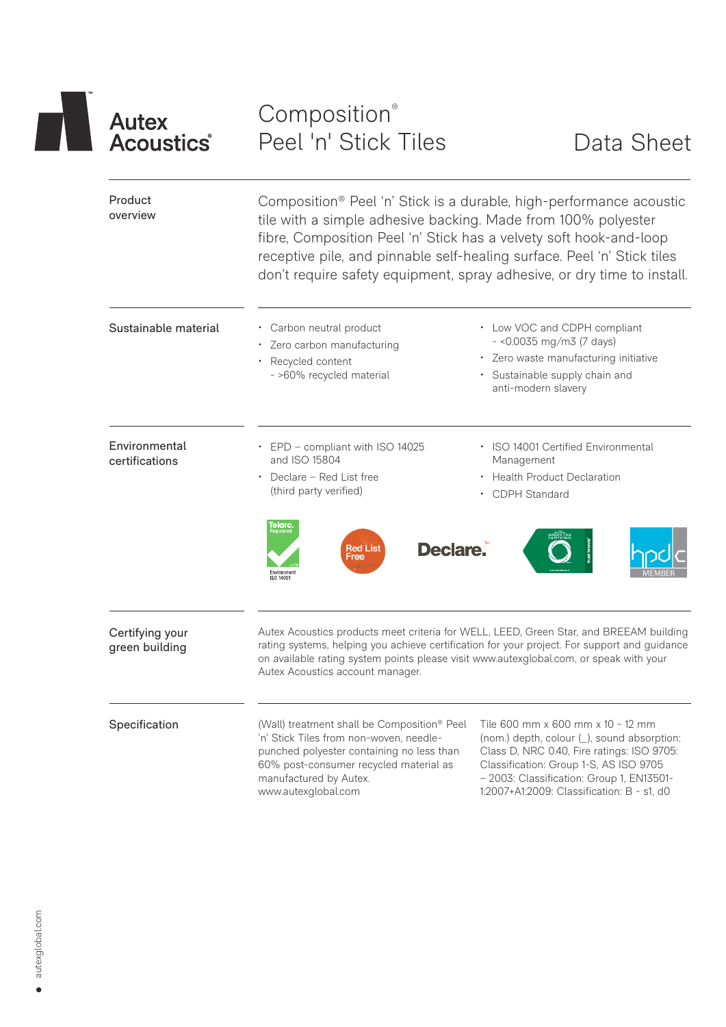

autexglobal.com autexglobal.com  $\bullet$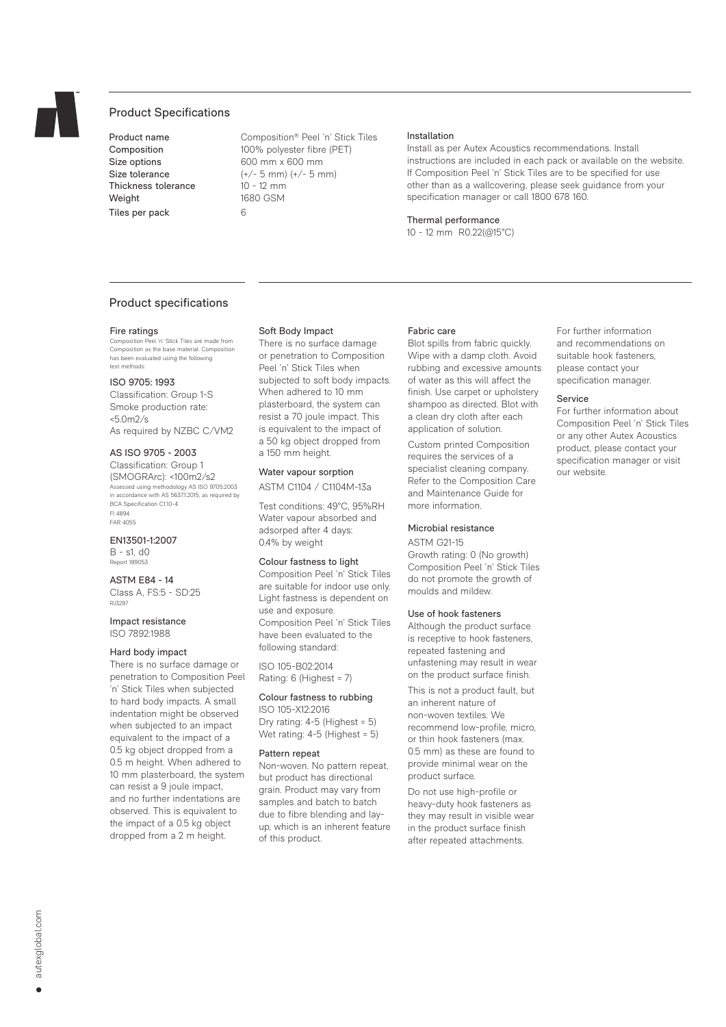

# Product Specifications

Thickness tolerance Weight 1680 GSM Tiles per pack 6

Product name Composition® Peel 'n' Stick Tiles Composition 100% polyester fibre (PET) Size options 600 mm x 600 mm Size tolerance  $(+/- 5 \text{ mm}) (+/- 5 \text{ mm})$ <br>Thickness tolerance  $10 - 12 \text{ mm}$ 

#### Installation

Install as per Autex Acoustics recommendations. Install instructions are included in each pack or available on the website. If Composition Peel 'n' Stick Tiles are to be specified for use other than as a wallcovering, please seek guidance from your specification manager or call 1800 678 160.

## Thermal performance

10 - 12 mm R0.22(@15°C)

# Product specifications

# Fire ratings<br>Composition Peel

,<br>el 'n' Stick Tiles are made from Composition as the base material. Composition has been evaluated using the following test methods:

## ISO 9705: 1993

Classification: Group 1-S Smoke production rate: <5.0m2/s As required by NZBC C/VM2

# AS ISO 9705 - 2003

Classification: Group 1 (SMOGRArc): <100m2/s2 Assessed using methodology AS ISO 9705:2003 in accordance with AS 5637.1:2015, as required by BCA Specification C1.10-4 FI 4894 FAR 4055

#### EN13501-1:2007

B - s1, d0 Report 189053

## ASTM E84 - 14

Class A, FS:5 - SD:25 RJ3297

## Impact resistance ISO 7892:1988

#### Hard body impact

There is no surface damage or penetration to Composition Peel 'n' Stick Tiles when subjected to hard body impacts. A small indentation might be observed when subjected to an impact equivalent to the impact of a 0.5 kg object dropped from a 0.5 m height. When adhered to 10 mm plasterboard, the system can resist a 9 joule impact, and no further indentations are observed. This is equivalent to the impact of a 0.5 kg object dropped from a 2 m height.

#### Soft Body Impact

There is no surface damage or penetration to Composition Peel 'n' Stick Tiles when subjected to soft body impacts. When adhered to 10 mm plasterboard, the system can resist a 70 joule impact. This is equivalent to the impact of a 50 kg object dropped from a 150 mm height.

## Water vapour sorption ASTM C1104 / C1104M-13a

Test conditions: 49°C, 95%RH Water vapour absorbed and adsorped after 4 days: 0.4% by weight

## Colour fastness to light

Composition Peel 'n' Stick Tiles are suitable for indoor use only. Light fastness is dependent on use and exposure. Composition Peel 'n' Stick Tiles have been evaluated to the following standard:

ISO 105-B02:2014 Rating: 6 (Highest = 7)

#### Colour fastness to rubbing

ISO 105-X12:2016 Dry rating: 4-5 (Highest = 5) Wet rating: 4-5 (Highest = 5)

### Pattern repeat

Non-woven. No pattern repeat, but product has directional grain. Product may vary from samples and batch to batch due to fibre blending and layup, which is an inherent feature of this product.

#### Fabric care

Blot spills from fabric quickly. Wipe with a damp cloth. Avoid rubbing and excessive amounts of water as this will affect the finish. Use carpet or upholstery shampoo as directed. Blot with a clean dry cloth after each application of solution.

Custom printed Composition requires the services of a specialist cleaning company. Refer to the Composition Care and Maintenance Guide for more information.

#### Microbial resistance

ASTM G21-15 Growth rating: 0 (No growth) Composition Peel 'n' Stick Tiles do not promote the growth of moulds and mildew.

### Use of hook fasteners

Although the product surface is receptive to hook fasteners, repeated fastening and unfastening may result in wear on the product surface finish.

This is not a product fault, but an inherent nature of non-woven textiles. We recommend low-profile, micro, or thin hook fasteners (max. 0.5 mm) as these are found to provide minimal wear on the product surface.

Do not use high-profile or heavy-duty hook fasteners as they may result in visible wear in the product surface finish after repeated attachments.

For further information and recommendations on suitable hook fasteners, please contact your specification manager.

#### **Service**

For further information about Composition Peel 'n' Stick Tiles or any other Autex Acoustics product, please contact your specification manager or visit our website.